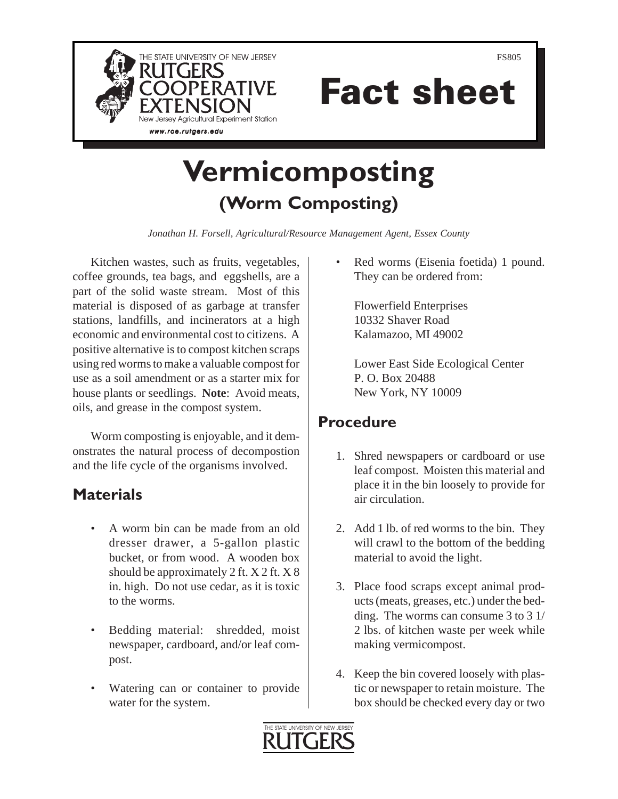

Fact sheet

# **Vermicomposting (Worm Composting)**

*Jonathan H. Forsell, Agricultural/Resource Management Agent, Essex County*

Kitchen wastes, such as fruits, vegetables, coffee grounds, tea bags, and eggshells, are a part of the solid waste stream. Most of this material is disposed of as garbage at transfer stations, landfills, and incinerators at a high economic and environmental cost to citizens. A positive alternative is to compost kitchen scraps using red worms to make a valuable compost for use as a soil amendment or as a starter mix for house plants or seedlings. **Note**: Avoid meats, oils, and grease in the compost system.

Worm composting is enjoyable, and it demonstrates the natural process of decompostion and the life cycle of the organisms involved.

## **Materials**

- A worm bin can be made from an old dresser drawer, a 5-gallon plastic bucket, or from wood. A wooden box should be approximately 2 ft. X 2 ft. X 8 in. high. Do not use cedar, as it is toxic to the worms.
- Bedding material: shredded, moist newspaper, cardboard, and/or leaf compost.
- Watering can or container to provide water for the system.

Red worms (Eisenia foetida) 1 pound. They can be ordered from:

Flowerfield Enterprises 10332 Shaver Road Kalamazoo, MI 49002

Lower East Side Ecological Center P. O. Box 20488 New York, NY 10009

# **Procedure**

- 1. Shred newspapers or cardboard or use leaf compost. Moisten this material and place it in the bin loosely to provide for air circulation.
- 2. Add 1 lb. of red worms to the bin. They will crawl to the bottom of the bedding material to avoid the light.
- 3. Place food scraps except animal products (meats, greases, etc.) under the bedding. The worms can consume 3 to 3 1/ 2 lbs. of kitchen waste per week while making vermicompost.
- 4. Keep the bin covered loosely with plastic or newspaper to retain moisture. The box should be checked every day or two